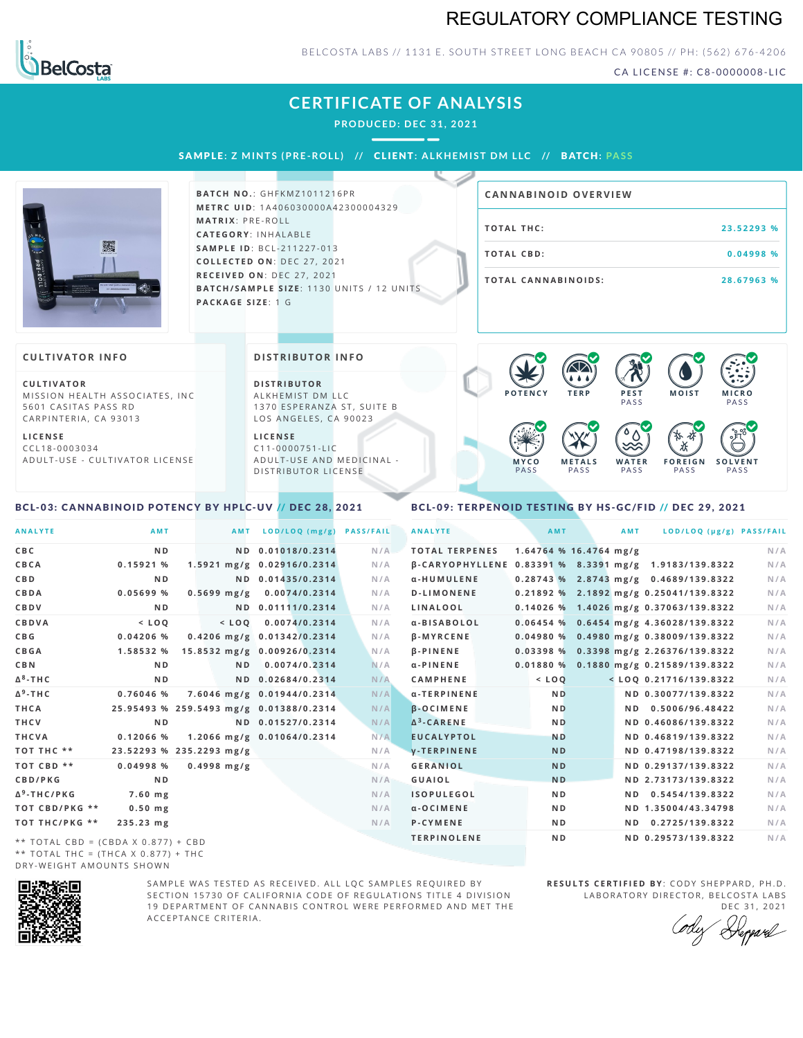# REGULATORY COMPLIANCE TESTING



### BELCOSTA LABS // 1131 E. SOUTH STREET LONG BEACH CA 90805 // PH: (562) 676-4206

CA LICENSE #: C8-0000008-LIC

# **CERTIFICATE OF ANALYSIS**

**PRODUCED: DEC 31, 2021**

SAMPL E **: Z MINTS (PRE -ROL L ) //** CL I ENT**: A LKHEMI ST DM L LC //** BATCH**: PA S S**



**BATCH NO.: GHFKMZ1011216PR M E T R C U ID** :1 A 4 0 6 0 3 0 0 0 0 A 4 2 3 0 0 0 0 4 3 2 9 **M AT R I X** :P R E - R O L L **CAT E G O R Y** : I N H A L A B L E **SA M P L E I D** :B C L - 2 1 1 2 2 7 - 0 1 3 **C O L L E C T E D O N** :D E C 2 7 , 2 0 2 1 **R E C E I V E D O N** : D E C 2 7 , 2 0 2 1 **BATCH/SAMPLE SIZE:** 1130 UNITS / 12 UNITS **PAC KA G E S I Z E** : 1 G

| <b>CANNABINOID OVERVIEW</b> |            |
|-----------------------------|------------|
| TOTAL THC:                  | 23.52293 % |
| TOTAL CBD:                  | 0.04998 %  |
| <b>TOTAL CANNABINOIDS:</b>  | 28.67963 % |

 $\bullet$  60 60 60 60

#### **CULTIVATOR I N FO**

**C U L T I VAT O R** MISSION HEALTH ASSOCIATES, INC 5601 CASITAS PASS RD CARPINTERIA, CA 93013

**L I C E N S E** C C L 1 8 - 0 0 0 3 0 3 4 A D U L T - U S E - C U L T I V A T O R L I C E N S E **DI STRIBUTOR I N FO**

**D I S T R IB U T O R** ALKHEMIST DM LLC 1370 ESPERANZA ST, SUITE B LOS ANGELES, CA 90023

**L I C E N S E**  $C11 - 0000751 - L$ A D U L T - U S E A N D M E D I C I N A L -DISTRIBUTOR LICENSE

#### **P O T E N C Y T E R P P E S T PASS M O IS T M IC R O** PA S S **M Y C O** PA S S **M E T A L S** PA S S **W A T E R** PA S S **F O R E I G N PASS S O L V E N T** PA S S  $\bullet$  6.0 6.0 6.0

### <span id="page-0-0"></span>BCL-03: CANNABINOID POTENCY BY HPLC-UV // DEC 28, 2021

### <span id="page-0-1"></span>BCL-09: TERPENOID TESTING BY HS-GC/FID // DEC 29, 2021

| <b>AMT</b> | AMT<br>$1.64764$ % 16.4764 mg/g | LOD/LOQ (µg/g) PASS/FAIL                                                                                                                                                             | N/A                                                                                                                                                                                                                                                                                                                                                                                                                                                                                                                                                                                                                               |
|------------|---------------------------------|--------------------------------------------------------------------------------------------------------------------------------------------------------------------------------------|-----------------------------------------------------------------------------------------------------------------------------------------------------------------------------------------------------------------------------------------------------------------------------------------------------------------------------------------------------------------------------------------------------------------------------------------------------------------------------------------------------------------------------------------------------------------------------------------------------------------------------------|
|            |                                 |                                                                                                                                                                                      |                                                                                                                                                                                                                                                                                                                                                                                                                                                                                                                                                                                                                                   |
|            |                                 |                                                                                                                                                                                      |                                                                                                                                                                                                                                                                                                                                                                                                                                                                                                                                                                                                                                   |
|            |                                 |                                                                                                                                                                                      | N/A                                                                                                                                                                                                                                                                                                                                                                                                                                                                                                                                                                                                                               |
|            |                                 |                                                                                                                                                                                      | N/A                                                                                                                                                                                                                                                                                                                                                                                                                                                                                                                                                                                                                               |
|            |                                 |                                                                                                                                                                                      | N/A                                                                                                                                                                                                                                                                                                                                                                                                                                                                                                                                                                                                                               |
|            |                                 |                                                                                                                                                                                      | N/A                                                                                                                                                                                                                                                                                                                                                                                                                                                                                                                                                                                                                               |
|            |                                 |                                                                                                                                                                                      | N/A                                                                                                                                                                                                                                                                                                                                                                                                                                                                                                                                                                                                                               |
|            |                                 |                                                                                                                                                                                      | N/A                                                                                                                                                                                                                                                                                                                                                                                                                                                                                                                                                                                                                               |
|            |                                 |                                                                                                                                                                                      | N/A                                                                                                                                                                                                                                                                                                                                                                                                                                                                                                                                                                                                                               |
|            |                                 |                                                                                                                                                                                      | N/A                                                                                                                                                                                                                                                                                                                                                                                                                                                                                                                                                                                                                               |
|            |                                 |                                                                                                                                                                                      | N/A                                                                                                                                                                                                                                                                                                                                                                                                                                                                                                                                                                                                                               |
|            |                                 |                                                                                                                                                                                      | N/A                                                                                                                                                                                                                                                                                                                                                                                                                                                                                                                                                                                                                               |
|            |                                 |                                                                                                                                                                                      | N/A                                                                                                                                                                                                                                                                                                                                                                                                                                                                                                                                                                                                                               |
|            |                                 |                                                                                                                                                                                      | N/A                                                                                                                                                                                                                                                                                                                                                                                                                                                                                                                                                                                                                               |
|            |                                 |                                                                                                                                                                                      | N/A                                                                                                                                                                                                                                                                                                                                                                                                                                                                                                                                                                                                                               |
|            |                                 |                                                                                                                                                                                      | N/A                                                                                                                                                                                                                                                                                                                                                                                                                                                                                                                                                                                                                               |
|            |                                 |                                                                                                                                                                                      | N/A                                                                                                                                                                                                                                                                                                                                                                                                                                                                                                                                                                                                                               |
|            |                                 |                                                                                                                                                                                      | N/A                                                                                                                                                                                                                                                                                                                                                                                                                                                                                                                                                                                                                               |
|            |                                 |                                                                                                                                                                                      | N/A                                                                                                                                                                                                                                                                                                                                                                                                                                                                                                                                                                                                                               |
|            |                                 |                                                                                                                                                                                      | N/A                                                                                                                                                                                                                                                                                                                                                                                                                                                                                                                                                                                                                               |
|            |                                 | 0.2725/139.8322                                                                                                                                                                      | N/A                                                                                                                                                                                                                                                                                                                                                                                                                                                                                                                                                                                                                               |
|            |                                 |                                                                                                                                                                                      | N/A                                                                                                                                                                                                                                                                                                                                                                                                                                                                                                                                                                                                                               |
|            |                                 | $<$ LOQ<br><b>ND</b><br>N <sub>D</sub><br><b>ND</b><br><b>ND</b><br><b>ND</b><br><b>ND</b><br>N <sub>D</sub><br>N <sub>D</sub><br>N <sub>D</sub><br>N <sub>D</sub><br>N <sub>D</sub> | B-CARYOPHYLLENE 0.83391 % 8.3391 mg/g 1.9183/139.8322<br>0.28743 % 2.8743 mg/g 0.4689/139.8322<br>0.21892 % 2.1892 mg/g 0.25041/139.8322<br>0.14026 % 1.4026 mg/g 0.37063/139.8322<br>0.06454 % 0.6454 mg/g 4.36028/139.8322<br>0.04980 % 0.4980 mg/g 0.38009/139.8322<br>0.03398 % 0.3398 mg/g 2.26376/139.8322<br>0.01880 % 0.1880 mg/g 0.21589/139.8322<br>$<$ LOQ 0.21716/139.8322<br>ND 0.30077/139.8322<br>ND 0.5006/96.48422<br>ND 0.46086/139.8322<br>ND 0.46819/139.8322<br>ND 0.47198/139.8322<br>ND 0.29137/139.8322<br>ND 2.73173/139.8322<br>ND 0.5454/139.8322<br>ND 1.35004/43.34798<br>ND.<br>ND 0.29573/139.8322 |

\* \* T O T A L C B D = ( C B D A X 0 . 8 7 7 ) + C B D \*\* TOTAL THC = (THCA X  $0.877$ ) + THC DRY-WEIGHT AMOUNTS SHOWN



SAMPLE WAS TESTED AS RECEIVED. ALL LOC SAMPLES REOUIRED BY SECTION 15730 OF CALIFORNIA CODE OF REGULATIONS TITLE 4 DIVISION 19 DEPARTMENT OF CANNABIS CONTROL WERE PERFORMED AND MET THE A C C E P T A N C E C R I T E R I A.

**RESULTS CERTIFIED BY: CODY SHEPPARD, PH.D.** LABORATORY DIRECTOR, BELCOSTA LABS

DEC 31, 2021<br>Deparel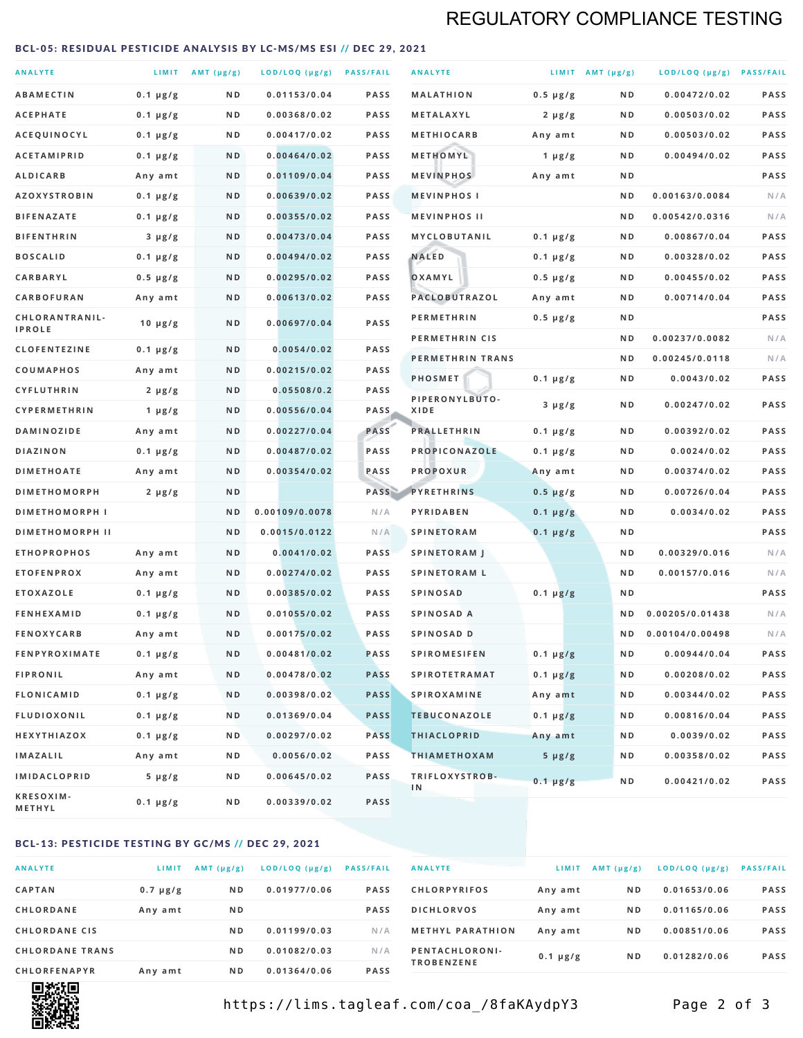# REGULATORY COMPLIANCE TESTING

#### <span id="page-1-0"></span>BCL-05: RESIDUAL PESTICIDE ANALYSIS BY LC-MS/MS ESI // DEC 29, 2021

| <b>ANALYTE</b>                  |               | LIMIT $AMT (\mu g/g)$ | LOD/LOQ (µg/g) PASS/FAIL |             | <b>ANALYTE</b>         |                  | LIMIT AMT $(\mu g/g)$ | LOD/LOQ (µg/g) PASS/FAIL |             |
|---------------------------------|---------------|-----------------------|--------------------------|-------------|------------------------|------------------|-----------------------|--------------------------|-------------|
| <b>ABAMECTIN</b>                | $0.1 \mu g/g$ | N D                   | 0.01153/0.04             | PASS        | <b>MALATHION</b>       | $0.5 \mu g/g$    | N D                   | 0.00472/0.02             | <b>PASS</b> |
| <b>ACEPHATE</b>                 | $0.1 \mu g/g$ | ND                    | 0.00368/0.02             | <b>PASS</b> | METALAXYL              | $2 \mu g/g$      | N D                   | 0.00503/0.02             | PASS        |
| ACEQUINOCYL                     | $0.1 \mu g/g$ | ND                    | 0.00417/0.02             | <b>PASS</b> | <b>METHIOCARB</b>      | Any amt          | N D                   | 0.00503/0.02             | PASS        |
| <b>ACETAMIPRID</b>              | $0.1 \mu g/g$ | N D                   | 0.00464/0.02             | PASS        | METHOMYL               | 1 $\mu$ g/g      | N D                   | 0.00494/0.02             | PASS        |
| <b>ALDICARB</b>                 | Any amt       | N D                   | 0.01109/0.04             | <b>PASS</b> | <b>MEVINPHOS</b>       | Any amt          | N D                   |                          | PASS        |
| <b>AZOXYSTROBIN</b>             | $0.1 \mu g/g$ | N D                   | 0.00639/0.02             | <b>PASS</b> | <b>MEVINPHOSI</b>      |                  | N D                   | 0.00163/0.0084           | N/A         |
| <b>BIFENAZATE</b>               | $0.1 \mu g/g$ | N D                   | 0.00355/0.02             | <b>PASS</b> | <b>MEVINPHOS II</b>    |                  | N D                   | 0.00542/0.0316           | N/A         |
| <b>BIFENTHRIN</b>               | $3 \mu g/g$   | N D                   | 0.00473/0.04             | <b>PASS</b> | MYCLOBUTANIL           | $0.1 \mu g/g$    | N D                   | 0.00867/0.04             | PASS        |
| <b>BOSCALID</b>                 | $0.1 \mu g/g$ | N D                   | 0.00494/0.02             | <b>PASS</b> | <b>NALED</b>           | $0.1 \mu g/g$    | N D                   | 0.00328/0.02             | PASS        |
| CARBARYL                        | $0.5 \mu g/g$ | N D                   | 0.00295/0.02             | <b>PASS</b> | OXAMYL                 | $0.5 \, \mu g/g$ | N D                   | 0.00455/0.02             | PASS        |
| CARBOFURAN                      | Any amt       | N D                   | 0.00613/0.02             | <b>PASS</b> | PACLOBUTRAZOL          | Any amt          | N D                   | 0.00714/0.04             | PASS        |
| CHLORANTRANIL-<br><b>IPROLE</b> | $10 \mu g/g$  | N D                   | 0.00697/0.04             | <b>PASS</b> | <b>PERMETHRIN</b>      | 0.5 µg/g         | N D                   |                          | PASS        |
| <b>CLOFENTEZINE</b>             | $0.1 \mu g/g$ | N D                   | 0.0054/0.02              | PASS        | PERMETHRIN CIS         |                  | N D                   | 0.00237/0.0082           | N/A         |
| <b>COUMAPHOS</b>                | Any amt       | N D                   | 0.00215/0.02             | <b>PASS</b> | PERMETHRIN TRANS       |                  | N D                   | 0.00245/0.0118           | N/A         |
| CYFLUTHRIN                      | $2 \mu g/g$   | N D                   | 0.05508/0.2              | <b>PASS</b> | PHOSMET                | $0.1 \mu g/g$    | N D                   | 0.0043/0.02              | PASS        |
| CYPERMETHRIN                    | $1 \mu g/g$   | ND                    | 0.00556/0.04             | <b>PASS</b> | PIPERONYLBUTO-<br>XIDE | $3 \mu g/g$      | N D                   | 0.00247/0.02             | PASS        |
| <b>DAMINOZIDE</b>               | Any amt       | N D                   | 0.00227/0.04             | PASS        | <b>PRALLETHRIN</b>     | $0.1 \mu g/g$    | N D                   | 0.00392/0.02             | PASS        |
| <b>DIAZINON</b>                 | $0.1 \mu g/g$ | N D                   | 0.00487/0.02             | <b>PASS</b> | PROPICONAZOLE          | $0.1 \, \mu g/g$ | N D                   | 0.0024/0.02              | PASS        |
| <b>DIMETHOATE</b>               | Any amt       | N D                   | 0.00354/0.02             | PASS        | <b>PROPOXUR</b>        | Any amt          | N D                   | 0.00374/0.02             | PASS        |
| <b>DIMETHOMORPH</b>             | $2 \mu g/g$   | N D                   |                          | PASS        | <b>PYRETHRINS</b>      | $0.5 \mu g/g$    | N D                   | 0.00726/0.04             | PASS        |
| <b>DIMETHOMORPH I</b>           |               | N D                   | 0.00109/0.0078           | N/A         | PYRIDABEN              | $0.1 \mu g/g$    | N D                   | 0.0034/0.02              | PASS        |
| <b>DIMETHOMORPH II</b>          |               | N <sub>D</sub>        | 0.0015/0.0122            | N/A         | <b>SPINETORAM</b>      | $0.1 \mu g/g$    | N D                   |                          | PASS        |
| <b>ETHOPROPHOS</b>              | Any amt       | N D                   | 0.0041/0.02              | <b>PASS</b> | <b>SPINETORAM J</b>    |                  | N D                   | 0.00329/0.016            | N/A         |
| <b>ETOFENPROX</b>               | Any amt       | N D                   | 0.00274/0.02             | <b>PASS</b> | <b>SPINETORAM L</b>    |                  | N D                   | 0.00157/0.016            | N/A         |
| <b>ETOXAZOLE</b>                | $0.1 \mu g/g$ | N D                   | 0.00385/0.02             | PASS        | <b>SPINOSAD</b>        | $0.1 \mu g/g$    | N D                   |                          | PASS        |
| <b>FENHEXAMID</b>               | $0.1 \mu g/g$ | N D                   | 0.01055/0.02             | PASS        | SPINOSAD A             |                  | N D                   | 0.00205/0.01438          | N/A         |
| <b>FENOXYCARB</b>               | Any amt       | N D                   | 0.00175/0.02             | <b>PASS</b> | SPINOSAD D             |                  | N D                   | 0.00104/0.00498          | N/A         |
| <b>FENPYROXIMATE</b>            | 0.1 µg/g      | ND                    | 0.00481/0.02             | PASS        | <b>SPIROMESIFEN</b>    | $0.1 \mu g/g$    | ND                    | 0.00944/0.04             | PASS        |
| <b>FIPRONIL</b>                 | Any amt       | N D                   | 0.00478/0.02             | <b>PASS</b> | <b>SPIROTETRAMAT</b>   | $0.1 \mu g/g$    | N D                   | 0.00208/0.02             | PASS        |
| <b>FLONICAMID</b>               | $0.1 \mu g/g$ | N D                   | 0.00398/0.02             | <b>PASS</b> | <b>SPIROXAMINE</b>     | Any amt          | N D                   | 0.00344/0.02             | PASS        |
| <b>FLUDIOXONIL</b>              | $0.1 \mu g/g$ | N D                   | 0.01369/0.04             | <b>PASS</b> | <b>TEBUCONAZOLE</b>    | $0.1 \mu g/g$    | N D                   | 0.00816/0.04             | PASS        |
| HEXYTHIAZOX                     | $0.1 \mu g/g$ | N D                   | 0.00297/0.02             | <b>PASS</b> | <b>THIACLOPRID</b>     | Any amt          | N D                   | 0.0039/0.02              | PASS        |
| <b>IMAZALIL</b>                 | Any amt       | N D                   | 0.0056/0.02              | PASS        | <b>THIAMETHOXAM</b>    | $5 \mu g/g$      | N D                   | 0.00358/0.02             | PASS        |
| <b>IMIDACLOPRID</b>             | $5 \mu g/g$   | N D                   | 0.00645/0.02             | <b>PASS</b> | TRIFLOXYSTROB-         | $0.1 \mu g/g$    | N D                   | 0.00421/0.02             | PASS        |
| KRESOXIM-<br>METHYL             | 0.1 µg/g      | N D                   | 0.00339/0.02             | PASS        | 1N                     |                  |                       |                          |             |

### BCL-13: PESTICIDE TESTING BY GC/MS // DEC 29, 2021

| <b>ANALYTE</b>         | LIMIT         | $AMT$ ( $\mu g/g$ ) | $LOD/LOQ$ ( $\mu g/g$ ) | <b>PASS/FAIL</b> |
|------------------------|---------------|---------------------|-------------------------|------------------|
| <b>CAPTAN</b>          | $0.7 \mu g/g$ | N <sub>D</sub>      | 0.01977/0.06            | <b>PASS</b>      |
| <b>CHLORDANE</b>       | Any amt       | N <sub>D</sub>      |                         | <b>PASS</b>      |
| <b>CHLORDANE CIS</b>   |               | N <sub>D</sub>      | 0.01199/0.03            | N/A              |
| <b>CHLORDANE TRANS</b> |               | N <sub>D</sub>      | 0.01082/0.03            | N/A              |
| <b>CHLORFENAPYR</b>    | Any amt       | N <sub>D</sub>      | 0.01364/0.06            | <b>PASS</b>      |

| <b>ANALYTE</b>                      | LIMIT         | AMT $(\mu g/g)$ | LOD/LOQ (µg/g) | <b>PASS/FAIL</b> |
|-------------------------------------|---------------|-----------------|----------------|------------------|
| <b>CHLORPYRIFOS</b>                 | Any amt       | N D             | 0.01653/0.06   | <b>PASS</b>      |
| <b>DICHLORVOS</b>                   | Any amt       | N <sub>D</sub>  | 0.01165/0.06   | <b>PASS</b>      |
| <b>METHYL PARATHION</b>             | Any amt       | N <sub>D</sub>  | 0.00851/0.06   | <b>PASS</b>      |
| PENTACHLORONI-<br><b>TROBENZENE</b> | $0.1 \mu g/g$ | N <sub>D</sub>  | 0.01282/0.06   | <b>PASS</b>      |